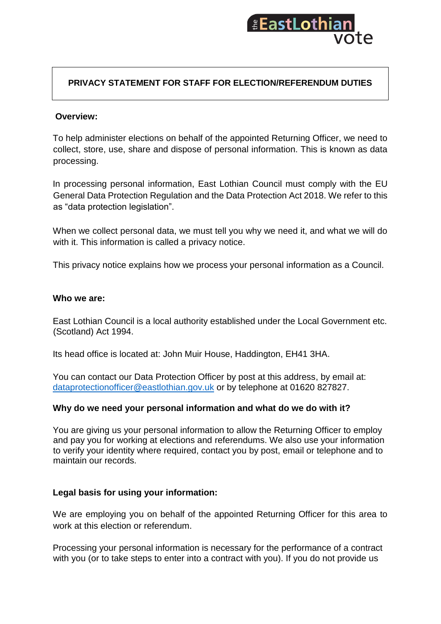

# **PRIVACY STATEMENT FOR STAFF FOR ELECTION/REFERENDUM DUTIES**

### **Overview:**

To help administer elections on behalf of the appointed Returning Officer, we need to collect, store, use, share and dispose of personal information. This is known as data processing.

In processing personal information, East Lothian Council must comply with the EU General Data Protection Regulation and the Data Protection Act 2018. We refer to this as "data protection legislation".

When we collect personal data, we must tell you why we need it, and what we will do with it. This information is called a privacy notice.

This privacy notice explains how we process your personal information as a Council.

#### **Who we are:**

East Lothian Council is a local authority established under the Local Government etc. (Scotland) Act 1994.

Its head office is located at: John Muir House, Haddington, EH41 3HA.

You can contact our Data Protection Officer by post at this address, by email at: [dataprotectionofficer@eastlothian.gov.uk](mailto:dataprotectionofficer@eastlothian.gov.uk) or by telephone at 01620 827827.

#### **Why do we need your personal information and what do we do with it?**

You are giving us your personal information to allow the Returning Officer to employ and pay you for working at elections and referendums. We also use your information to verify your identity where required, contact you by post, email or telephone and to maintain our records.

#### **Legal basis for using your information:**

We are employing you on behalf of the appointed Returning Officer for this area to work at this election or referendum.

Processing your personal information is necessary for the performance of a contract with you (or to take steps to enter into a contract with you). If you do not provide us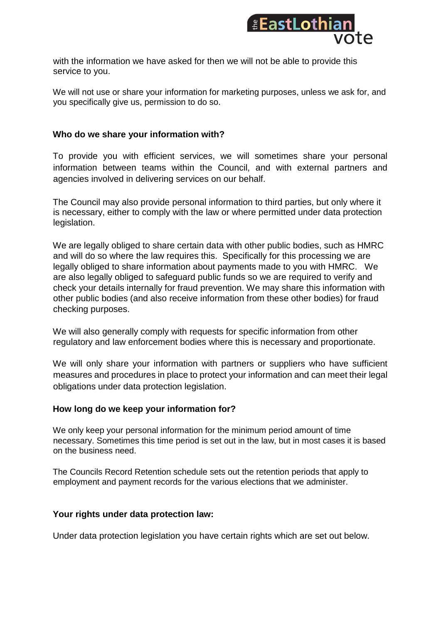

with the information we have asked for then we will not be able to provide this service to you.

We will not use or share your information for marketing purposes, unless we ask for, and you specifically give us, permission to do so.

### **Who do we share your information with?**

To provide you with efficient services, we will sometimes share your personal information between teams within the Council, and with external partners and agencies involved in delivering services on our behalf.

The Council may also provide personal information to third parties, but only where it is necessary, either to comply with the law or where permitted under data protection legislation.

We are legally obliged to share certain data with other public bodies, such as HMRC and will do so where the law requires this. Specifically for this processing we are legally obliged to share information about payments made to you with HMRC. We are also legally obliged to safeguard public funds so we are required to verify and check your details internally for fraud prevention. We may share this information with other public bodies (and also receive information from these other bodies) for fraud checking purposes.

We will also generally comply with requests for specific information from other regulatory and law enforcement bodies where this is necessary and proportionate.

We will only share your information with partners or suppliers who have sufficient measures and procedures in place to protect your information and can meet their legal obligations under data protection legislation.

## **How long do we keep your information for?**

We only keep your personal information for the minimum period amount of time necessary. Sometimes this time period is set out in the law, but in most cases it is based on the business need.

The Councils Record Retention schedule sets out the retention periods that apply to employment and payment records for the various elections that we administer.

## **Your rights under data protection law:**

Under data protection legislation you have certain rights which are set out below.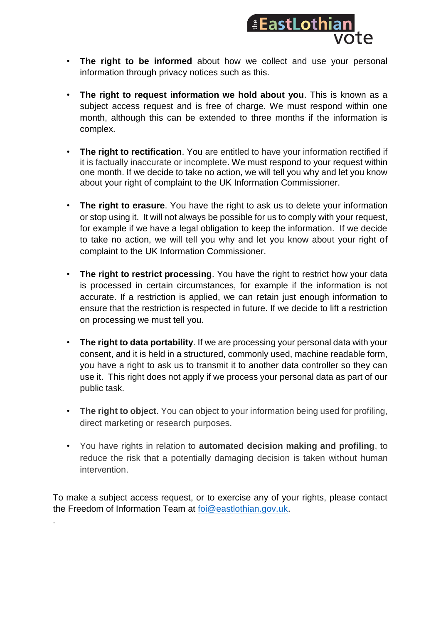

- **The right to be informed** about how we collect and use your personal information through privacy notices such as this.
- **The right to request information we hold about you**. This is known as a subject access request and is free of charge. We must respond within one month, although this can be extended to three months if the information is complex.
- **The right to rectification**. You are entitled to have your information rectified if it is factually inaccurate or incomplete. We must respond to your request within one month. If we decide to take no action, we will tell you why and let you know about your right of complaint to the UK Information Commissioner.
- **The right to erasure**. You have the right to ask us to delete your information or stop using it. It will not always be possible for us to comply with your request, for example if we have a legal obligation to keep the information. If we decide to take no action, we will tell you why and let you know about your right of complaint to the UK Information Commissioner.
- **The right to restrict processing**. You have the right to restrict how your data is processed in certain circumstances, for example if the information is not accurate. If a restriction is applied, we can retain just enough information to ensure that the restriction is respected in future. If we decide to lift a restriction on processing we must tell you.
- **The right to data portability**. If we are processing your personal data with your consent, and it is held in a structured, commonly used, machine readable form, you have a right to ask us to transmit it to another data controller so they can use it. This right does not apply if we process your personal data as part of our public task.
- **The right to object**. You can object to your information being used for profiling, direct marketing or research purposes.
- You have rights in relation to **automated decision making and profiling**, to reduce the risk that a potentially damaging decision is taken without human intervention.

To make a subject access request, or to exercise any of your rights, please contact the Freedom of Information Team at [foi@eastlothian.gov.uk.](mailto:foi@eastlothian.gov.uk)

.